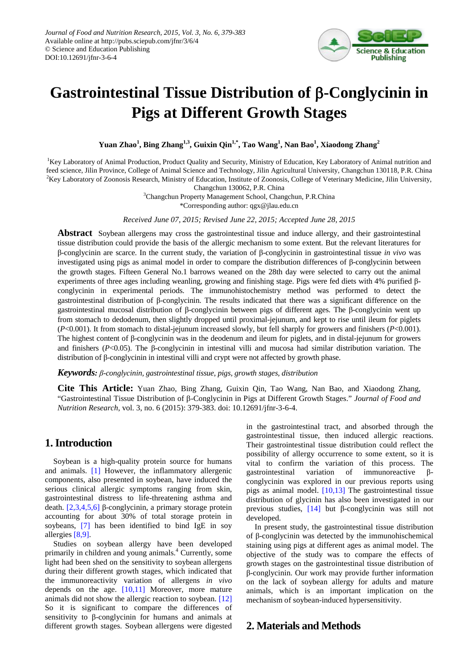

# **Gastrointestinal Tissue Distribution of** β**-Conglycinin in Pigs at Different Growth Stages**

**Yuan Zhao<sup>1</sup> , Bing Zhang1,3, Guixin Qin1,\* , Tao Wang<sup>1</sup> , Nan Bao<sup>1</sup> , Xiaodong Zhang<sup>2</sup>**

<sup>1</sup>Key Laboratory of Animal Production, Product Quality and Security, Ministry of Education, Key Laboratory of Animal nutrition and feed science, Jilin Province, College of Animal Science and Technology, Jilin Agricultural University, Changchun 130118, P.R. China <sup>2</sup>Key Laboratory of Zoonosis Research, Ministry of Education, Institute of Zoonosis, College of Veterinary Medicine, Jilin University,

Changchun 130062, P.R. China

<sup>3</sup>Changchun Property Management School, Changchun, P.R.China

\*Corresponding author: qgx@jlau.edu.cn

*Received June 07, 2015; Revised June 22, 2015; Accepted June 28, 2015*

**Abstract** Soybean allergens may cross the gastrointestinal tissue and induce allergy, and their gastrointestinal tissue distribution could provide the basis of the allergic mechanism to some extent. But the relevant literatures for β-conglycinin are scarce. In the current study, the variation of β-conglycinin in gastrointestinal tissue *in vivo* was investigated using pigs as animal model in order to compare the distribution differences of β-conglycinin between the growth stages. Fifteen General No.1 barrows weaned on the 28th day were selected to carry out the animal experiments of three ages including weanling, growing and finishing stage. Pigs were fed diets with 4% purified βconglycinin in experimental periods. The immunohistochemistry method was performed to detect the gastrointestinal distribution of β-conglycinin. The results indicated that there was a significant difference on the gastrointestinal mucosal distribution of β-conglycinin between pigs of different ages. The β-conglycinin went up from stomach to dedodenum, then slightly dropped until proximal-jejunum, and kept to rise until ileum for piglets (*P*<0.001). It from stomach to distal-jejunum increased slowly, but fell sharply for growers and finishers (*P*<0.001). The highest content of β-conglycinin was in the deodenum and ileum for piglets, and in distal-jejunum for growers and finishers (*P*<0.05). The β-conglycinin in intestinal villi and mucosa had similar distribution variation. The distribution of β-conglycinin in intestinal villi and crypt were not affected by growth phase.

*Keywords: β-conglycinin, gastrointestinal tissue, pigs, growth stages, distribution*

**Cite This Article:** Yuan Zhao, Bing Zhang, Guixin Qin, Tao Wang, Nan Bao, and Xiaodong Zhang, "Gastrointestinal Tissue Distribution of β-Conglycinin in Pigs at Different Growth Stages." *Journal of Food and Nutrition Research*, vol. 3, no. 6 (2015): 379-383. doi: 10.12691/jfnr-3-6-4.

### **1. Introduction**

Soybean is a high-quality protein source for humans and animals. [\[1\]](#page-4-0) However, the inflammatory allergenic components, also presented in soybean, have induced the serious clinical allergic symptoms ranging from skin, gastrointestinal distress to life-threatening asthma and death. [\[2,3,4,5,6\]](#page-4-1) β-conglycinin, a primary storage protein accounting for about 30% of total storage protein in soybeans, [\[7\]](#page-4-2) has been identified to bind IgE in soy allergies [\[8,9\].](#page-4-3)

Studies on soybean allergy have been developed primarily in children and young animals.<sup>4</sup> Currently, some light had been shed on the sensitivity to soybean allergens during their different growth stages, which indicated that the immunoreactivity variation of allergens *in vivo*  depends on the age. [\[10,11\]](#page-4-4) Moreover, more mature animals did not show the allergic reaction to soybean. [\[12\]](#page-4-5) So it is significant to compare the differences of sensitivity to β-conglycinin for humans and animals at different growth stages. Soybean allergens were digested in the gastrointestinal tract, and absorbed through the gastrointestinal tissue, then induced allergic reactions. Their gastrointestinal tissue distribution could reflect the possibility of allergy occurrence to some extent, so it is vital to confirm the variation of this process. The gastrointestinal variation of immunoreactive βconglycinin was explored in our previous reports using pigs as animal model. [\[10,13\]](#page-4-4) The gastrointestinal tissue distribution of glycinin has also been investigated in our previous studies, [\[14\]](#page-4-6) but β-conglycinin was still not developed.

In present study, the gastrointestinal tissue distribution of β-conglycinin was detected by the immunohischemical staining using pigs at different ages as animal model. The objective of the study was to compare the effects of growth stages on the gastrointestinal tissue distribution of β-conglycinin. Our work may provide further information on the lack of soybean allergy for adults and mature animals, which is an important implication on the mechanism of soybean-induced hypersensitivity.

## **2. Materials and Methods**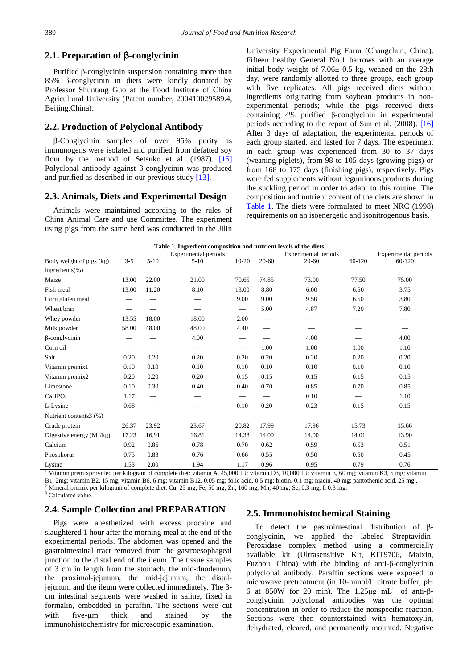#### **2.1. Preparation of** β**-conglycinin**

Purified β-conglycinin suspension containing more than 85% β-conglycinin in diets were kindly donated by Professor Shuntang Guo at the Food Institute of China Agricultural University (Patent number, 200410029589.4, Beijing,China).

#### **2.2. Production of Polyclonal Antibody**

β-Conglycinin samples of over 95% purity as immunogens were isolated and purified from defatted soy flour by the method of Setsuko et al. (1987). [\[15\]](#page-4-7) Polyclonal antibody against β-conglycinin was produced and purified as described in our previous study [\[13\].](#page-4-8)

#### **2.3. Animals, Diets and Experimental Design**

Animals were maintained according to the rules of China Animal Care and use Committee. The experiment using pigs from the same herd was conducted in the Jilin University Experimental Pig Farm (Changchun, China). Fifteen healthy General No.1 barrows with an average initial body weight of 7.06± 0.5 kg, weaned on the 28th day, were randomly allotted to three groups, each group with five replicates. All pigs received diets without ingredients originating from soybean products in nonexperimental periods; while the pigs received diets containing 4% purified β-conglycinin in experimental periods according to the report of Sun et al. (2008). [\[16\]](#page-4-9) After 3 days of adaptation, the experimental periods of each group started, and lasted for 7 days. The experiment in each group was experienced from 30 to 37 days (weaning piglets), from 98 to 105 days (growing pigs) or from 168 to 175 days (finishing pigs), respectively. Pigs were fed supplements without leguminous products during the suckling period in order to adapt to this routine. The composition and nutrient content of the diets are shown in [Table 1.](#page-1-0) The diets were formulated to meet NRC (1998) requirements on an isoenergetic and isonitrogenous basis.

<span id="page-1-0"></span>

| Table 1. Ingredient composition and nutrient levels of the diets                                                                               |         |                          |                               |                               |                          |                      |                             |                             |
|------------------------------------------------------------------------------------------------------------------------------------------------|---------|--------------------------|-------------------------------|-------------------------------|--------------------------|----------------------|-----------------------------|-----------------------------|
|                                                                                                                                                |         |                          | Experimental periods          |                               |                          | Experimental periods |                             | <b>Experimental periods</b> |
| Body weight of pigs (kg)                                                                                                                       | $3 - 5$ | $5-10$                   | $5-10$                        | $10 - 20$                     | $20 - 60$                | $20 - 60$            | 60-120                      | 60-120                      |
| Ingredients $(\% )$                                                                                                                            |         |                          |                               |                               |                          |                      |                             |                             |
| Maize                                                                                                                                          | 13.00   | 22.00                    | 21.00                         | 70.65                         | 74.85                    | 73.00                | 77.50                       | 75.00                       |
| Fish meal                                                                                                                                      | 13.00   | 11.20                    | 8.10                          | 13.00                         | 8.80                     | 6.00                 | 6.50                        | 3.75                        |
| Corn gluten meal                                                                                                                               |         |                          |                               | 9.00                          | 9.00                     | 9.50                 | 6.50                        | 3.80                        |
| Wheat bran                                                                                                                                     |         |                          |                               | $\overline{\phantom{m}}$      | 5.00                     | 4.87                 | 7.20                        | 7.80                        |
| Whey powder                                                                                                                                    | 13.55   | 18.00                    | 18.00                         | 2.00                          | $\overline{\phantom{0}}$ |                      |                             |                             |
| Milk powder                                                                                                                                    | 58.00   | 48.00                    | 48.00                         | 4.40                          | $\overline{\phantom{0}}$ |                      |                             | $\overline{\phantom{0}}$    |
| $\beta$ -conglycinin                                                                                                                           |         |                          | 4.00                          | $\overbrace{\phantom{aaaaa}}$ |                          | 4.00                 |                             | 4.00                        |
| Corn oil                                                                                                                                       |         |                          | $\overbrace{\phantom{13333}}$ | $\overbrace{\hspace{15em}}$   | 1.00                     | 1.00                 | 1.00                        | 1.10                        |
| Salt                                                                                                                                           | 0.20    | 0.20                     | 0.20                          | 0.20                          | 0.20                     | 0.20                 | 0.20                        | 0.20                        |
| Vitamin premix1                                                                                                                                | 0.10    | 0.10                     | 0.10                          | 0.10                          | 0.10                     | 0.10                 | 0.10                        | 0.10                        |
| Vitamin premix2                                                                                                                                | 0.20    | 0.20                     | 0.20                          | 0.15                          | 0.15                     | 0.15                 | 0.15                        | 0.15                        |
| Limestone                                                                                                                                      | 0.10    | 0.30                     | 0.40                          | 0.40                          | 0.70                     | 0.85                 | 0.70                        | 0.85                        |
| CaHPO <sub>4</sub>                                                                                                                             | 1.17    |                          |                               | $\overbrace{\hspace{15em}}$   |                          | 0.10                 | $\overbrace{\hspace{15em}}$ | 1.10                        |
| L-Lysine                                                                                                                                       | 0.68    | $\overline{\phantom{0}}$ | $\overline{\phantom{0}}$      | 0.10                          | 0.20                     | 0.23                 | 0.15                        | 0.15                        |
| Nutrient contents3 (%)                                                                                                                         |         |                          |                               |                               |                          |                      |                             |                             |
| Crude protein                                                                                                                                  | 26.37   | 23.92                    | 23.67                         | 20.82                         | 17.99                    | 17.96                | 15.73                       | 15.66                       |
| Digestive energy (MJ/kg)                                                                                                                       | 17.23   | 16.91                    | 16.81                         | 14.38                         | 14.09                    | 14.00                | 14.01                       | 13.90                       |
| Calcium                                                                                                                                        | 0.92    | 0.86                     | 0.78                          | 0.70                          | 0.62                     | 0.59                 | 0.53                        | 0.51                        |
| Phosphorus                                                                                                                                     | 0.75    | 0.83                     | 0.76                          | 0.66                          | 0.55                     | 0.50                 | 0.50                        | 0.45                        |
| Lysine                                                                                                                                         | 1.53    | 2.00                     | 1.94                          | 1.17                          | 0.96                     | 0.95                 | 0.79                        | 0.76                        |
| Vitamin premixprovided per kilogram of complete diet: vitamin A, 45,000 IU; vitamin D3, 10,000 IU; vitamin E, 60 mg; vitamin K3, 5 mg; vitamin |         |                          |                               |                               |                          |                      |                             |                             |

B1, 2mg; vitamin B2, 15 mg; vitamin B6, 6 mg; vitamin B12, 0.05 mg; folic acid, 0.5 mg; biotin, 0.1 mg; niacin, 40 mg; pantothenic acid, 25 mg. <sup>2</sup> Mineral premix per kilogram of complete diet: Cu, 25 mg; Fe, 50 mg; Zn, 16

<sup>3</sup> Calculated value.

#### **2.4. Sample Collection and PREPARATION**

Pigs were anesthetized with excess procaine and slaughtered 1 hour after the morning meal at the end of the experimental periods. The abdomen was opened and the gastrointestinal tract removed from the gastroesophageal junction to the distal end of the ileum. The tissue samples of 3 cm in length from the stomach, the mid-duodenum, the proximal-jejunum, the mid-jejunum, the distaljejunum and the ileum were collected immediately. The 3 cm intestinal segments were washed in saline, fixed in formalin, embedded in paraffin. The sections were cut with five-um thick and stained by the immunohistochemistry for microscopic examination.

#### **2.5. Immunohistochemical Staining**

To detect the gastrointestinal distribution of βconglycinin, we applied the labeled Streptavidin-Peroxidase complex method using a commercially available kit (Ultrasensitive Kit, KIT9706, Maixin, Fuzhou, China) with the binding of anti-β-conglycinin polyclonal antibody. Paraffin sections were exposed to microwave pretreatment (in 10-mmol/L citrate buffer, pH 6 at 850W for 20 min). The 1.25μg mL<sup>-1</sup> of anti-βconglycinin polyclonal antibodies was the optimal concentration in order to reduce the nonspecific reaction. Sections were then counterstained with hematoxylin, dehydrated, cleared, and permanently mounted. Negative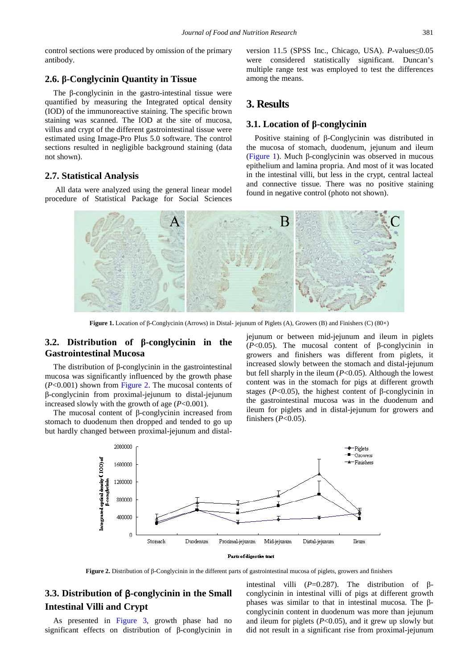control sections were produced by omission of the primary antibody.

#### **2.6. β-Conglycinin Quantity in Tissue**

The β-conglycinin in the gastro-intestinal tissue were quantified by measuring the Integrated optical density (IOD) of the immunoreactive staining. The specific brown staining was scanned. The IOD at the site of mucosa, villus and crypt of the different gastrointestinal tissue were estimated using Image-Pro Plus 5.0 software. The control sections resulted in negligible background staining (data not shown).

#### **2.7. Statistical Analysis**

<span id="page-2-0"></span>All data were analyzed using the general linear model procedure of Statistical Package for Social Sciences version 11.5 (SPSS Inc., Chicago, USA). *P*-values≤0.05 were considered statistically significant. Duncan's multiple range test was employed to test the differences among the means.

## **3. Results**

#### **3.1. Location of β-conglycinin**

Positive staining of β-Conglycinin was distributed in the mucosa of stomach, duodenum, jejunum and ileum [\(Figure 1\)](#page-2-0). Much β-conglycinin was observed in mucous epithelium and lamina propria. And most of it was located in the intestinal villi, but less in the crypt, central lacteal and connective tissue. There was no positive staining found in negative control (photo not shown).



**Figure 1.** Location of β-Conglycinin (Arrows) in Distal- jejunum of Piglets (A), Growers (B) and Finishers (C) (80×)

## **3.2. Distribution of β-conglycinin in the Gastrointestinal Mucosa**

The distribution of β-conglycinin in the gastrointestinal mucosa was significantly influenced by the growth phase (*P*<0.001) shown from [Figure 2.](#page-2-1) The mucosal contents of β-conglycinin from proximal-jejunum to distal-jejunum increased slowly with the growth of age  $(P<0.001)$ .

<span id="page-2-1"></span>The mucosal content of β-conglycinin increased from stomach to duodenum then dropped and tended to go up but hardly changed between proximal-jejunum and distaljejunum or between mid-jejunum and ileum in piglets (*P*<0.05). The mucosal content of β-conglycinin in growers and finishers was different from piglets, it increased slowly between the stomach and distal-jejunum but fell sharply in the ileum (*P*<0.05). Although the lowest content was in the stomach for pigs at different growth stages ( $P<0.05$ ), the highest content of  $\beta$ -conglycinin in the gastrointestinal mucosa was in the duodenum and ileum for piglets and in distal-jejunum for growers and finishers (*P*<0.05).



**Figure 2.** Distribution of β-Conglycinin in the different parts of gastrointestinal mucosa of piglets, growers and finishers

## **3.3. Distribution of** β**-conglycinin in the Small Intestinal Villi and Crypt**

As presented in [Figure 3,](#page-3-0) growth phase had no significant effects on distribution of β-conglycinin in intestinal villi ( $P=0.287$ ). The distribution of βconglycinin in intestinal villi of pigs at different growth phases was similar to that in intestinal mucosa. The βconglycinin content in duodenum was more than jejunum and ileum for piglets  $(P<0.05)$ , and it grew up slowly but did not result in a significant rise from proximal-jejunum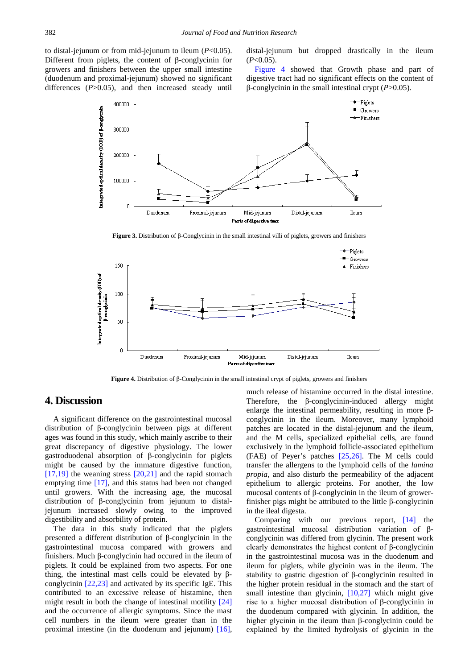<span id="page-3-0"></span>to distal-jejunum or from mid-jejunum to ileum (*P*<0.05). Different from piglets, the content of β-conglycinin for growers and finishers between the upper small intestine (duodenum and proximal-jejunum) showed no significant differences (*P*>0.05), and then increased steady until

distal-jejunum but dropped drastically in the ileum  $(P<0.05)$ .

[Figure 4](#page-3-1) showed that Growth phase and part of digestive tract had no significant effects on the content of β-conglycinin in the small intestinal crypt (*P*>0.05).



**Figure 3.** Distribution of β-Conglycinin in the small intestinal villi of piglets, growers and finishers

<span id="page-3-1"></span>

**Figure 4.** Distribution of β-Conglycinin in the small intestinal crypt of piglets, growers and finishers

## **4. Discussion**

A significant difference on the gastrointestinal mucosal distribution of β-conglycinin between pigs at different ages was found in this study, which mainly ascribe to their great discrepancy of digestive physiology. The lower gastroduodenal absorption of β-conglycinin for piglets might be caused by the immature digestive function,  $[17,19]$  the weaning stress  $[20,21]$  and the rapid stomach emptying time [\[17\],](#page-4-10) and this status had been not changed until growers. With the increasing age, the mucosal distribution of β-conglycinin from jejunum to distaljejunum increased slowly owing to the improved digestibility and absorbility of protein.

The data in this study indicated that the piglets presented a different distribution of β-conglycinin in the gastrointestinal mucosa compared with growers and finishers. Much β-conglycinin had occured in the ileum of piglets. It could be explained from two aspects. For one thing, the intestinal mast cells could be elevated by βconglycinin [\[22,23\]](#page-4-12) and activated by its specific IgE. This contributed to an excessive release of histamine, then might result in both the change of intestinal motility [\[24\]](#page-4-13) and the occurrence of allergic symptoms. Since the mast cell numbers in the ileum were greater than in the proximal intestine (in the duodenum and jejunum) [\[16\],](#page-4-9)

much release of histamine occurred in the distal intestine. Therefore, the β-conglycinin-induced allergy might enlarge the intestinal permeability, resulting in more βconglycinin in the ileum. Moreover, many lymphoid patches are located in the distal-jejunum and the ileum, and the M cells, specialized epithelial cells, are found exclusively in the lymphoid follicle-associated epithelium (FAE) of Peyer's patches [\[25,26\].](#page-4-14) The M cells could transfer the allergens to the lymphoid cells of the *lamina propia*, and also disturb the permeability of the adjacent epithelium to allergic proteins. For another, the low mucosal contents of β-conglycinin in the ileum of growerfinisher pigs might be attributed to the little β-conglycinin in the ileal digesta.

Comparing with our previous report, [\[14\]](#page-4-6) the gastrointestinal mucosal distribution variation of βconglycinin was differed from glycinin. The present work clearly demonstrates the highest content of β-conglycinin in the gastrointestinal mucosa was in the duodenum and ileum for piglets, while glycinin was in the ileum. The stability to gastric digestion of β-conglycinin resulted in the higher protein residual in the stomach and the start of small intestine than glycinin, [\[10,27\]](#page-4-4) which might give rise to a higher mucosal distribution of β-conglycinin in the duodenum compared with glycinin. In addition, the higher glycinin in the ileum than β-conglycinin could be explained by the limited hydrolysis of glycinin in the